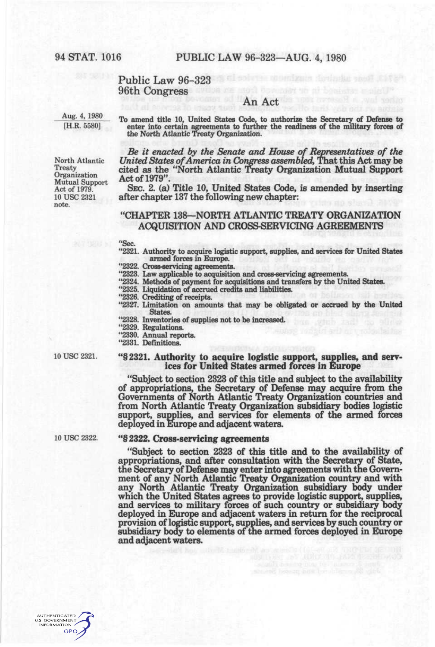### Public Law 96-323 96th Congress

# An Act

 $\frac{[H.R. 5580]}{[H.R. 5580]}$  To amend title 10, United States Code, to authorize the Secretary of Defense to enter into certain agreements to further the readiness of the military forces of the North Atlantic Treaty Organiz

Organization<br>
Mutual Support<br>
Act of 1979. SEC. 2. (a) note.

Be it enacted by the Senate and House of Representatives of the North Atlantic *United States of America in Conjgress assembled,* That this Act may be Treaty cited as the "North Atlantic Treaty Organization Mutual Support

Act of 1979. SEC. 2. (a) Title 10, United States Code, is amended by inserting 10 USC 2321 after chapter 137 the following new chapter: after chapter 137 the following new chapter:

# "CHAPTER 138—NORTH ATLANTIC TREATY ORGANIZATION ACQUISITION AND CROSS-SERVICING AGREEMENTS

"Sec.

"2321. Authority to acquire logistic support, supplies, and services for United States armed forces in Europe.

"2322. Cross-servicing agreements.

"2323. Law applicable to acquisition and cross-servicing agreements.

"2324. Methods of payment for acquisitions and transfers by the United States.

"2325. Liquidation of accrued credits and liabilities. "2326. Crediting of receipts.

"2327. Limitation on amounts that may be obligated or accrued by the United States.

"2328. Inventories of supplies not to be increased.

"2329. Regulations.

"2330. Annual reports.

"2331. Definitions.

### 10 use 2321. "§2321. Authority to acquire logistic support, supplies, and services for United States armed forces in Europe

"Subject to section 2323 of this title and subject to the availability of appropriations, the Secretary of Defense may acquire from the Governments of North Atlantic Treaty Organization countries and from North Atlantic Treaty Organization subsidiary bodies logistic support, supplies, and services for elements of the armed forces deployed in Europe and adjacent waters.

# 10 use 2322. «§ 2322. Cross-servicing agreements

"Subject to section 2323 of this title and to the availability of appropriations, and after consultation with the Secretary of State, the Secretary of Defense may enter into agreements with the Government of any North Atlantic Treaty Organization country and with any North Atlantic Treaty Organization subsidiary body under which the United States agrees to provide logistic support, supplies, and services to military forces of such country or subsidiary body deployed in Europe and adjacent waters in return for the reciprocal provision of logistic support, supplies, and services by such country or subsidiary body to elements of the armed forces deployed in Europe and adiacent waters.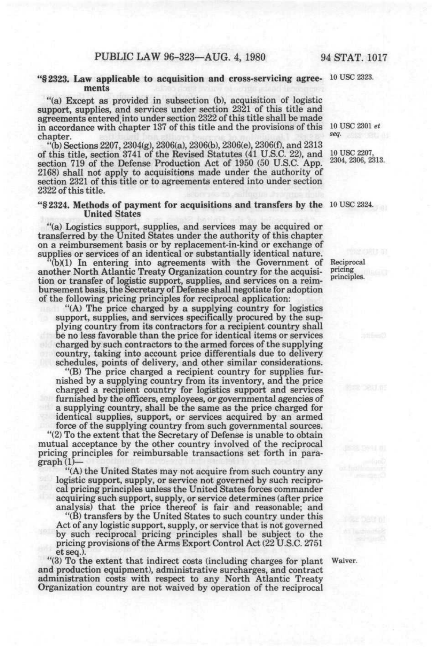### "§2323. **Law applicable to acquisition and cross-servicing agree-** 10 use 2323. **ments**

"(a) Except as provided in subsection (b), acquisition of logistic support, supplies, and services under section 2321 of this title and agreements entered into under section 2322 of this title shall be made in accordance with chapter 137 of this title and the provisions of this chapter.

"(b) Sections 2207,2304(g), 2306(a), 2306(b), 2306(e), 2306(f), and 2313 of this title, section 3741 of the Revised Statutes (41 U.S.C. 22), and section 719 of the Defense Production Act of 1950 (50 U.S.C. App. 2168) shall not apply to acquisitions made under the authority of section 2321 of this title or to agreements entered into under section 2322 of this title.

#### "§2324. **Methods of payment for acquisitions and transfers by the** 10 use 2324. **United** States

"(a) Logistics support, supplies, and services may be acquired or transferred by the United States under the authority of this chapter on a reimbursement basis or by replacement-in-kind or exchange of supplies or services of an identical or substantially identical nature.

"(b)(1) In entering into agreements with the Government of another North Atlantic Treaty Organization country for the acquisition or transfer of logistic support, supplies, and services on a reimbursement basis, the Secretary of Defense shall negotiate for adoption of the following pricing principles for reciprocal application:

"(A) The price charged by a supplying country for logistics support, supplies, and services specifically procured by the supplying country from its contractors for a recipient country shall be no less favorable than the price for identical items or services charged by such contractors to the armed forces of the supplying country, taking into account price differentials due to delivery schedules, points of delivery, and other similar considerations.

"(B) The price charged a recipient country for supplies furnished by a supplying country from its inventory, and the price charged a recipient country for logistics support and services furnished by the officers, employees, or governmental agencies of a supplying country, shall be the same as the price charged for identical supplies, support, or services acquired by an armed force of the supplying country from such governmental sources.

"(2) To the extent that the Secretary of Defense is unable to obtain mutual acceptance by the other country involved of the reciprocal pricing principles for reimbursable transactions set forth in para $graph(1)$ 

"(A) the United States may not acquire from such country any logistic support, supply, or service not governed by such reciprocal pricing principles unless the United States forces commander acquiring such support, supply, or service determines (after price analysis) that the price thereof is fair and reasonable; and

"(B) transfers by the United States to such country under this Act of any logistic support, supply, or service that is not governed by such reciprocal pricing principles shall be subject to the pricing provisions of the Arms Export Control Act (22 U.S.C. 2751 et seq.).

"(3) To the extent that indirect costs (including charges for plant Waiver, and production equipment), administrative surcharges, and contract administration costs with respect to any North Atlantic Treaty Organization country are not waived by operation of the reciprocal

Reciprocal pricing principles.

10 USC 2301 et *seq.* 

10 USC 2207, 2304, 2306, 2313.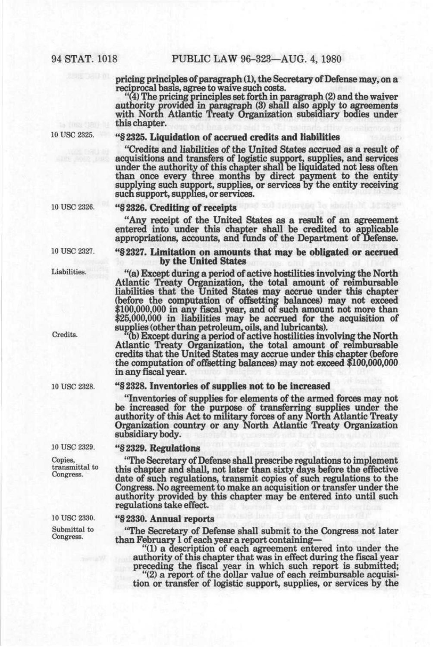pricing principles of paragraph (1), the Secretary of Defense may, on a reciprocal basis, agree to waive such costs.

"(4) The pricing principles set forth in paragraph (2) and the waiver authority provided in paragraph (3) shall also apply to agreements with North Atlantic Treaty Organization subsidiary bodies under this chapter.

10 USC 2325.

# \*'§2325. Liquidation of accrued credits and liabilities

''Credits and liabilities of the United States accrued as a result of acquisitions and transfers of logistic support, supplies, and services under the authority of this chapter shall be liquidated not less often than once every three months by direct payment to the entity supplying such support, supplies, or services by the entity receiving such support, supplies, or services.

#### 10 USC 2326.

#### "§2326. Crediting of receipts

"Any receipt of the United States as a result of an agreement entered into under this chapter shall be credited to applicable appropriations, accounts, and funds of the Department of Defense.

#### "§2327. Limitation on amounts that may be obligated or accrued by the United States

"(a) Except during a period of active hostilities involving the North Atlantic Treaty Organization, the total amount of reimbursable liabilities that the United States may accrue under this chapter (before the computation of offsetting balances) may not exceed \$100,000,000 in any fiscal year, and of such amount not more than \$25,000,000 in liabilities may be accrued for the acquisition of supplies (other than petroleum, oils, and lubricants).

(b) Except during a period of active hostilities involving the North Atlantic Treaty Organization, the total amount of reimbursable credits that the United States may accrue under this chapter (before the computation of offsetting balances) may not exceed \$100,000,000 in any fiscal year.

#### "§2328. Inventories of supplies not to be increased

"Inventories of supplies for elements of the armed forces may not be increased for the purpose of transferring supplies under the authority of this Act to military forces of any North Atlantic Treaty Organization country or any North Atlantic Treaty Organization subsidiary body.

### "§2329. Regulations

"The Secretary of Defense shall prescribe regulations to implement this chapter and shall, not later *than* sixty days before the effective date of such regulations, transmit copies of such regulations to the Congress. No agreement to make an acquisition or transfer under the authority provided by this chapter may be entered into until such regulations take effect.

#### "§2330. Annual reports

"The Secretary of Defense shall submit to the Congress not later than February 1 of each year a report containing—

"(1) a description of each agreement entered into under the authority of this chapter that was in effect during the fiscal year preceding the fiscal year in which such report is submitted;

"(2) a report of the dollar value of each reimbursable acquisition or transfer of logistic support, supplies, or services by the

10 USC 2327.

Liabilities.

Credits.

10 USC 2328.

10 USC 2329.

Copies, transmittal to Congress.

10 USC 2330.

Submittal to Congress.